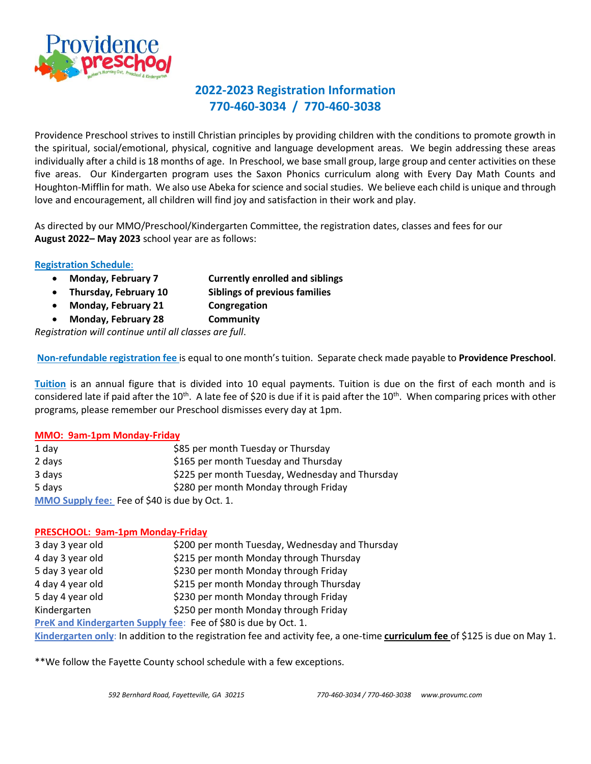

## **2022-2023 Registration Information 770-460-3034 / 770-460-3038**

Providence Preschool strives to instill Christian principles by providing children with the conditions to promote growth in the spiritual, social/emotional, physical, cognitive and language development areas. We begin addressing these areas individually after a child is 18 months of age. In Preschool, we base small group, large group and center activities on these five areas. Our Kindergarten program uses the Saxon Phonics curriculum along with Every Day Math Counts and Houghton-Mifflin for math. We also use Abeka for science and social studies. We believe each child is unique and through love and encouragement, all children will find joy and satisfaction in their work and play.

As directed by our MMO/Preschool/Kindergarten Committee, the registration dates, classes and fees for our **August 2022– May 2023** school year are as follows:

#### **Registration Schedule**:

- **Monday, February 7 Currently enrolled and siblings**
- **Thursday, February 10 Siblings of previous families**
- **Monday, February 21 Congregation**
- **Monday, February 28 Community**

*Registration will continue until all classes are full*.

**Non-refundable registration fee** is equal to one month's tuition. Separate check made payable to **Providence Preschool**.

**Tuition** is an annual figure that is divided into 10 equal payments. Tuition is due on the first of each month and is considered late if paid after the 10<sup>th</sup>. A late fee of \$20 is due if it is paid after the 10<sup>th</sup>. When comparing prices with other programs, please remember our Preschool dismisses every day at 1pm.

#### **MMO: 9am-1pm Monday-Friday**

| 1 day                                         | \$85 per month Tuesday or Thursday              |
|-----------------------------------------------|-------------------------------------------------|
| 2 days                                        | \$165 per month Tuesday and Thursday            |
| 3 days                                        | \$225 per month Tuesday, Wednesday and Thursday |
| 5 days                                        | \$280 per month Monday through Friday           |
| MMO Supply fee: Fee of \$40 is due by Oct. 1. |                                                 |

#### **PRESCHOOL: 9am-1pm Monday-Friday**

| 3 day 3 year old | \$200 per month Tuesday, Wednesday and Thursday                                                                              |
|------------------|------------------------------------------------------------------------------------------------------------------------------|
| 4 day 3 year old | \$215 per month Monday through Thursday                                                                                      |
| 5 day 3 year old | \$230 per month Monday through Friday                                                                                        |
| 4 day 4 year old | \$215 per month Monday through Thursday                                                                                      |
| 5 day 4 year old | \$230 per month Monday through Friday                                                                                        |
| Kindergarten     | \$250 per month Monday through Friday                                                                                        |
|                  | PreK and Kindergarten Supply fee: Fee of \$80 is due by Oct. 1.                                                              |
|                  | Kindergarten only: In addition to the registration fee and activity fee, a one-time curriculum fee of \$125 is due on May 1. |

\*\*We follow the Fayette County school schedule with a few exceptions.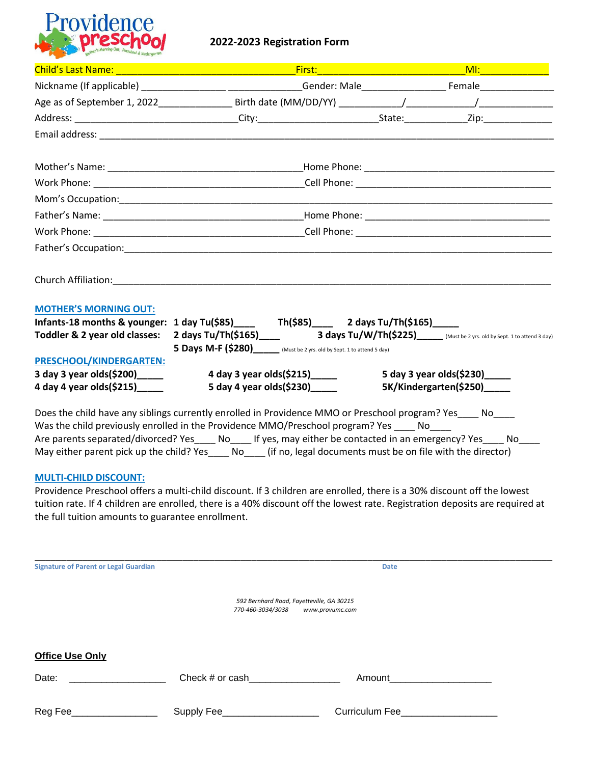

#### **2022-2023 Registration Form**

| Nickname (If applicable) __________________________________Gender: Male________________________Female_______________ |                                                                                    |                                                                    | MI: Experimental Miller                                                                                                                                                                                                                                                 |
|----------------------------------------------------------------------------------------------------------------------|------------------------------------------------------------------------------------|--------------------------------------------------------------------|-------------------------------------------------------------------------------------------------------------------------------------------------------------------------------------------------------------------------------------------------------------------------|
|                                                                                                                      |                                                                                    |                                                                    |                                                                                                                                                                                                                                                                         |
|                                                                                                                      |                                                                                    |                                                                    |                                                                                                                                                                                                                                                                         |
|                                                                                                                      |                                                                                    |                                                                    |                                                                                                                                                                                                                                                                         |
|                                                                                                                      |                                                                                    |                                                                    |                                                                                                                                                                                                                                                                         |
|                                                                                                                      |                                                                                    |                                                                    |                                                                                                                                                                                                                                                                         |
|                                                                                                                      |                                                                                    |                                                                    |                                                                                                                                                                                                                                                                         |
|                                                                                                                      |                                                                                    |                                                                    |                                                                                                                                                                                                                                                                         |
|                                                                                                                      |                                                                                    |                                                                    |                                                                                                                                                                                                                                                                         |
|                                                                                                                      |                                                                                    |                                                                    |                                                                                                                                                                                                                                                                         |
|                                                                                                                      |                                                                                    |                                                                    |                                                                                                                                                                                                                                                                         |
|                                                                                                                      |                                                                                    |                                                                    |                                                                                                                                                                                                                                                                         |
|                                                                                                                      |                                                                                    |                                                                    |                                                                                                                                                                                                                                                                         |
|                                                                                                                      |                                                                                    |                                                                    |                                                                                                                                                                                                                                                                         |
|                                                                                                                      |                                                                                    |                                                                    |                                                                                                                                                                                                                                                                         |
|                                                                                                                      |                                                                                    |                                                                    |                                                                                                                                                                                                                                                                         |
|                                                                                                                      |                                                                                    |                                                                    | 5 day 3 year olds $(5230)$                                                                                                                                                                                                                                              |
|                                                                                                                      |                                                                                    |                                                                    | 5K/Kindergarten(\$250)_____                                                                                                                                                                                                                                             |
|                                                                                                                      |                                                                                    |                                                                    |                                                                                                                                                                                                                                                                         |
|                                                                                                                      | Was the shild provinculu enrolled in the Providence MMO (Preschool program) Yes No | 4 day 3 year olds (\$215)______<br>5 day 4 year olds (\$230)______ | Infants-18 months & younger: 1 day Tu(\$85)____ Th(\$85)___ 2 days Tu/Th(\$165)____<br>5 Days M-F (\$280) [Must be 2 yrs. old by Sept. 1 to attend 5 day)<br>Does the child have any siblings currently enrolled in Providence MMO or Preschool program? Yes____ No____ |

Was the child previously enrolled in the Providence MMO/Preschool program? Yes \_\_\_\_ No\_\_\_\_ Are parents separated/divorced? Yes\_\_\_\_ No\_\_\_\_ If yes, may either be contacted in an emergency? Yes\_\_\_\_ No\_\_\_\_ May either parent pick up the child? Yes\_\_\_\_ No\_\_\_\_ (if no, legal documents must be on file with the director)

#### **MULTI-CHILD DISCOUNT:**

Providence Preschool offers a multi-child discount. If 3 children are enrolled, there is a 30% discount off the lowest tuition rate. If 4 children are enrolled, there is a 40% discount off the lowest rate. Registration deposits are required at the full tuition amounts to guarantee enrollment.

| <b>Signature of Parent or Legal Guardian</b> |                                           | <b>Date</b>                                 |  |
|----------------------------------------------|-------------------------------------------|---------------------------------------------|--|
|                                              |                                           |                                             |  |
|                                              | 592 Bernhard Road, Fayetteville, GA 30215 |                                             |  |
|                                              | 770-460-3034/3038<br>www.provumc.com      |                                             |  |
|                                              |                                           |                                             |  |
|                                              |                                           |                                             |  |
| <b>Office Use Only</b>                       |                                           |                                             |  |
| Date:                                        | Check # or cash                           | Amount                                      |  |
|                                              |                                           |                                             |  |
| Reg Fee_                                     | Supply Fee_                               | Curriculum Fee <b>Executive State State</b> |  |
|                                              |                                           |                                             |  |
|                                              |                                           |                                             |  |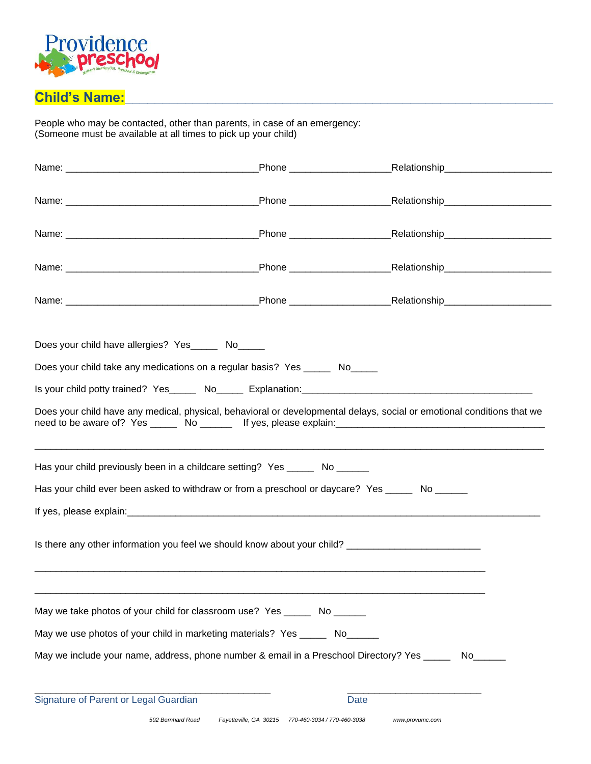

# Child's Name:

People who may be contacted, other than parents, in case of an emergency: (Someone must be available at all times to pick up your child)

|                                                                                                     | _Phone ______________________                      |                                                                                                                        |
|-----------------------------------------------------------------------------------------------------|----------------------------------------------------|------------------------------------------------------------------------------------------------------------------------|
|                                                                                                     |                                                    |                                                                                                                        |
|                                                                                                     |                                                    |                                                                                                                        |
|                                                                                                     |                                                    |                                                                                                                        |
|                                                                                                     |                                                    |                                                                                                                        |
|                                                                                                     |                                                    |                                                                                                                        |
|                                                                                                     |                                                    |                                                                                                                        |
|                                                                                                     |                                                    |                                                                                                                        |
|                                                                                                     |                                                    |                                                                                                                        |
|                                                                                                     |                                                    |                                                                                                                        |
|                                                                                                     |                                                    |                                                                                                                        |
| Does your child have allergies? Yes______ No_____                                                   |                                                    |                                                                                                                        |
| Does your child take any medications on a regular basis? Yes _______ No                             |                                                    |                                                                                                                        |
|                                                                                                     |                                                    |                                                                                                                        |
|                                                                                                     |                                                    |                                                                                                                        |
|                                                                                                     |                                                    | Does your child have any medical, physical, behavioral or developmental delays, social or emotional conditions that we |
|                                                                                                     |                                                    |                                                                                                                        |
|                                                                                                     |                                                    |                                                                                                                        |
|                                                                                                     |                                                    |                                                                                                                        |
| Has your child previously been in a childcare setting? Yes ______ No _______                        |                                                    |                                                                                                                        |
| Has your child ever been asked to withdraw or from a preschool or daycare? Yes ______ No ______     |                                                    |                                                                                                                        |
|                                                                                                     |                                                    |                                                                                                                        |
|                                                                                                     |                                                    |                                                                                                                        |
| Is there any other information you feel we should know about your child? __________________________ |                                                    |                                                                                                                        |
|                                                                                                     |                                                    |                                                                                                                        |
|                                                                                                     |                                                    |                                                                                                                        |
|                                                                                                     |                                                    |                                                                                                                        |
| May we take photos of your child for classroom use? Yes _______ No _______                          |                                                    |                                                                                                                        |
|                                                                                                     |                                                    |                                                                                                                        |
| May we use photos of your child in marketing materials? Yes ______ No______                         |                                                    |                                                                                                                        |
| May we include your name, address, phone number & email in a Preschool Directory? Yes _____         |                                                    | $No \_$                                                                                                                |
|                                                                                                     |                                                    |                                                                                                                        |
|                                                                                                     |                                                    |                                                                                                                        |
| Signature of Parent or Legal Guardian                                                               |                                                    | Date                                                                                                                   |
| 592 Bernhard Road                                                                                   | Fayetteville, GA 30215 770-460-3034 / 770-460-3038 | www.provumc.com                                                                                                        |